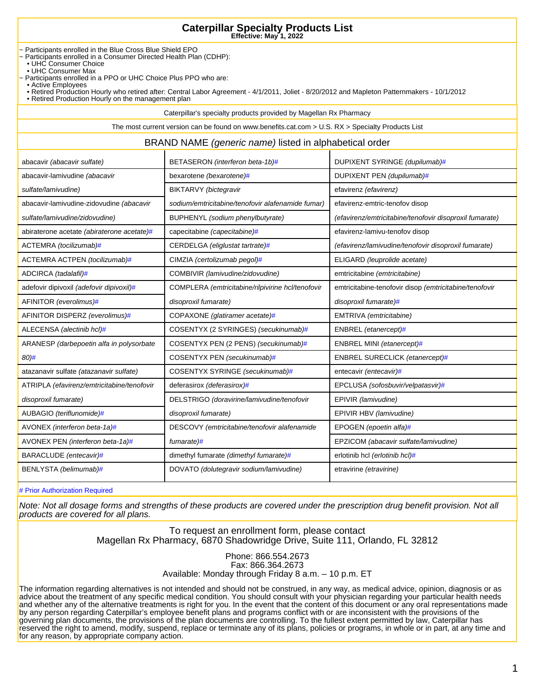~ Participants enrolled in the Blue Cross Blue Shield EPO

- ~ Participants enrolled in a Consumer Directed Health Plan (CDHP):
- UHC Consumer Choice
	- UHC Consumer Max
- ~ Participants enrolled in a PPO or UHC Choice Plus PPO who are:
- Active Employees
- Retired Production Hourly who retired after: Central Labor Agreement 4/1/2011, Joliet 8/20/2012 and Mapleton Patternmakers 10/1/2012
- Retired Production Hourly on the management plan

Caterpillar's specialty products provided by Magellan Rx Pharmacy

The most current version can be found on www.benefits.cat.com > U.S. RX > Specialty Products List

#### BRAND NAME (generic name) listed in alphabetical order

| abacavir (abacavir sulfate)                | BETASERON (interferon beta-1b)#                   | DUPIXENT SYRINGE (dupilumab)#                           |
|--------------------------------------------|---------------------------------------------------|---------------------------------------------------------|
| abacavir-lamivudine (abacavir              | bexarotene (bexarotene)#                          | DUPIXENT PEN (dupilumab)#                               |
| sulfate/lamivudine)                        | BIKTARVY (bictegravir                             | efavirenz (efavirenz)                                   |
| abacavir-lamivudine-zidovudine (abacavir   | sodium/emtricitabine/tenofovir alafenamide fumar) | efavirenz-emtric-tenofov disop                          |
| sulfate/lamivudine/zidovudine)             | BUPHENYL (sodium phenylbutyrate)                  | (efavirenz/emtricitabine/tenofovir disoproxil fumarate) |
| abiraterone acetate (abiraterone acetate)# | capecitabine (capecitabine)#                      | efavirenz-lamivu-tenofov disop                          |
| ACTEMRA (tocilizumab)#                     | CERDELGA (eliglustat tartrate)#                   | (efavirenz/lamivudine/tenofovir disoproxil fumarate)    |
| ACTEMRA ACTPEN (tocilizumab)#              | CIMZIA (certolizumab pegol)#                      | ELIGARD (leuprolide acetate)                            |
| ADCIRCA (tadalafil)#                       | COMBIVIR (lamivudine/zidovudine)                  | emtricitabine (emtricitabine)                           |
| adefovir dipivoxil (adefovir dipivoxil)#   | COMPLERA (emtricitabine/rilpivirine hcl/tenofovir | emtricitabine-tenofovir disop (emtricitabine/tenofovir  |
| AFINITOR (everolimus)#                     | disoproxil fumarate)                              | disoproxil fumarate)#                                   |
| AFINITOR DISPERZ (everolimus)#             | COPAXONE (glatiramer acetate)#                    | EMTRIVA (emtricitabine)                                 |
| ALECENSA (alectinib hcl)#                  | COSENTYX (2 SYRINGES) (secukinumab)#              | ENBREL (etanercept)#                                    |
| ARANESP (darbepoetin alfa in polysorbate   | COSENTYX PEN (2 PENS) (secukinumab)#              | ENBREL MINI (etanercept)#                               |
| 80)#                                       | COSENTYX PEN (secukinumab)#                       | ENBREL SURECLICK (etanercept)#                          |
| atazanavir sulfate (atazanavir sulfate)    | COSENTYX SYRINGE (secukinumab)#                   | entecavir (entecavir)#                                  |
| ATRIPLA (efavirenz/emtricitabine/tenofovir | deferasirox (deferasirox)#                        | EPCLUSA (sofosbuvir/velpatasvir)#                       |
| disoproxil fumarate)                       | DELSTRIGO (doravirine/lamivudine/tenofovir        | EPIVIR (lamivudine)                                     |
| AUBAGIO (teriflunomide)#                   | disoproxil fumarate)                              | EPIVIR HBV (lamivudine)                                 |
| AVONEX (interferon beta-1a)#               | DESCOVY (emtricitabine/tenofovir alafenamide      | EPOGEN (epoetin alfa)#                                  |
| AVONEX PEN (interferon beta-1a)#           | fumarate)#                                        | EPZICOM (abacavir sulfate/lamivudine)                   |
| BARACLUDE (entecavir)#                     | dimethyl fumarate (dimethyl fumarate)#            | erlotinib hcl (erlotinib hcl)#                          |
| BENLYSTA (belimumab)#                      | DOVATO (dolutegravir sodium/lamivudine)           | etravirine (etravirine)                                 |

# Prior Authorization Required

Note: Not all dosage forms and strengths of these products are covered under the prescription drug benefit provision. Not all products are covered for all plans.

> To request an enrollment form, please contact Magellan Rx Pharmacy, 6870 Shadowridge Drive, Suite 111, Orlando, FL 32812

> > Phone: 866.554.2673 Fax: 866.364.2673 Available: Monday through Friday 8 a.m. – 10 p.m. ET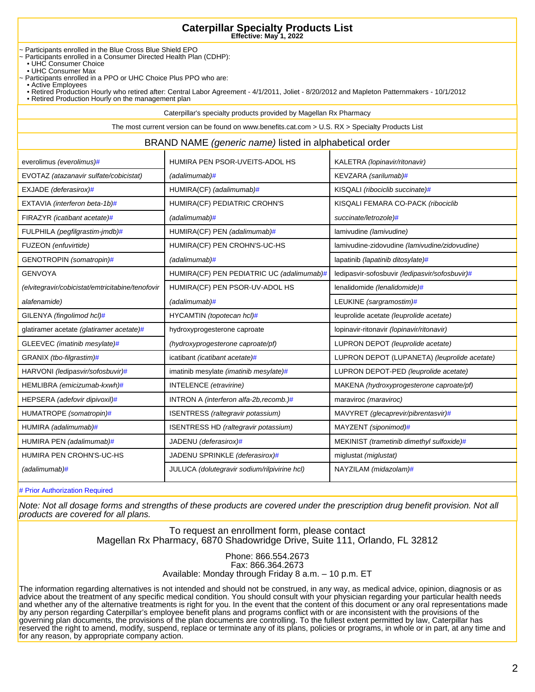~ Participants enrolled in the Blue Cross Blue Shield EPO

- ~ Participants enrolled in a Consumer Directed Health Plan (CDHP):
- UHC Consumer Choice
	- UHC Consumer Max
- ~ Participants enrolled in a PPO or UHC Choice Plus PPO who are:
- Active Employees
- Retired Production Hourly who retired after: Central Labor Agreement 4/1/2011, Joliet 8/20/2012 and Mapleton Patternmakers 10/1/2012
- Retired Production Hourly on the management plan

Caterpillar's specialty products provided by Magellan Rx Pharmacy

The most current version can be found on www.benefits.cat.com > U.S. RX > Specialty Products List BRAND NAME (generic name) listed in alphabetical order everolimus (everolimus)# HUMIRA PEN PSOR-UVEITS-ADOL HS KALETRA (lopinavir/ritonavir)

| EVOTAZ (atazanavir sulfate/cobicistat)           | (adalimumab)#                                | KEVZARA (sarilumab)#                           |
|--------------------------------------------------|----------------------------------------------|------------------------------------------------|
| EXJADE (deferasirox)#                            | HUMIRA(CF) (adalimumab)#                     | KISQALI (ribociclib succinate)#                |
| EXTAVIA (interferon beta-1b)#                    | HUMIRA(CF) PEDIATRIC CROHN'S                 | KISQALI FEMARA CO-PACK (ribociclib             |
| FIRAZYR (icatibant acetate)#                     | $(adalimumab)$ #                             | succinate/letrozole)#                          |
| FULPHILA (pegfilgrastim-jmdb)#                   | HUMIRA(CF) PEN (adalimumab)#                 | lamivudine (lamivudine)                        |
| FUZEON (enfuvirtide)                             | HUMIRA(CF) PEN CROHN'S-UC-HS                 | lamivudine-zidovudine (lamivudine/zidovudine)  |
| GENOTROPIN (somatropin)#                         | (adalimumab)#                                | lapatinib (lapatinib ditosylate)#              |
| <b>GENVOYA</b>                                   | HUMIRA(CF) PEN PEDIATRIC UC (adalimumab)#    | ledipasvir-sofosbuvir (ledipasvir/sofosbuvir)# |
| (elvitegravir/cobicistat/emtricitabine/tenofovir | HUMIRA(CF) PEN PSOR-UV-ADOL HS               | lenalidomide (lenalidomide)#                   |
| alafenamide)                                     | (adalimumab)#                                | LEUKINE (sargramostim)#                        |
| GILENYA (fingolimod hcl)#                        | HYCAMTIN (topotecan hcl)#                    | leuprolide acetate (leuprolide acetate)        |
| glatiramer acetate (glatiramer acetate)#         | hydroxyprogesterone caproate                 | lopinavir-ritonavir (lopinavir/ritonavir)      |
| GLEEVEC (imatinib mesylate)#                     | (hydroxyprogesterone caproate/pf)            | LUPRON DEPOT (leuprolide acetate)              |
| GRANIX (tbo-filgrastim)#                         | icatibant (icatibant acetate)#               | LUPRON DEPOT (LUPANETA) (leuprolide acetate)   |
| HARVONI (ledipasvir/sofosbuvir)#                 | imatinib mesylate (imatinib mesylate)#       | LUPRON DEPOT-PED (leuprolide acetate)          |
| HEMLIBRA (emicizumab-kxwh)#                      | INTELENCE (etravirine)                       | MAKENA (hydroxyprogesterone caproate/pf)       |
| HEPSERA (adefovir dipivoxil)#                    | INTRON A (interferon alfa-2b, recomb.) $#$   | maraviroc (maraviroc)                          |
| HUMATROPE (somatropin)#                          | ISENTRESS (raltegravir potassium)            | MAVYRET (glecaprevir/pibrentasvir)#            |
| HUMIRA (adalimumab)#                             | ISENTRESS HD (raltegravir potassium)         | MAYZENT (siponimod)#                           |
| HUMIRA PEN (adalimumab)#                         | JADENU (deferasirox)#                        | MEKINIST (trametinib dimethyl sulfoxide)#      |
| HUMIRA PEN CROHN'S-UC-HS                         | JADENU SPRINKLE (deferasirox)#               | miglustat (miglustat)                          |
| (adalimumab)#                                    | JULUCA (dolutegravir sodium/rilpivirine hcl) | NAYZILAM (midazolam)#                          |

# Prior Authorization Required

Note: Not all dosage forms and strengths of these products are covered under the prescription drug benefit provision. Not all products are covered for all plans.

> To request an enrollment form, please contact Magellan Rx Pharmacy, 6870 Shadowridge Drive, Suite 111, Orlando, FL 32812

> > Phone: 866.554.2673 Fax: 866.364.2673 Available: Monday through Friday 8 a.m. – 10 p.m. ET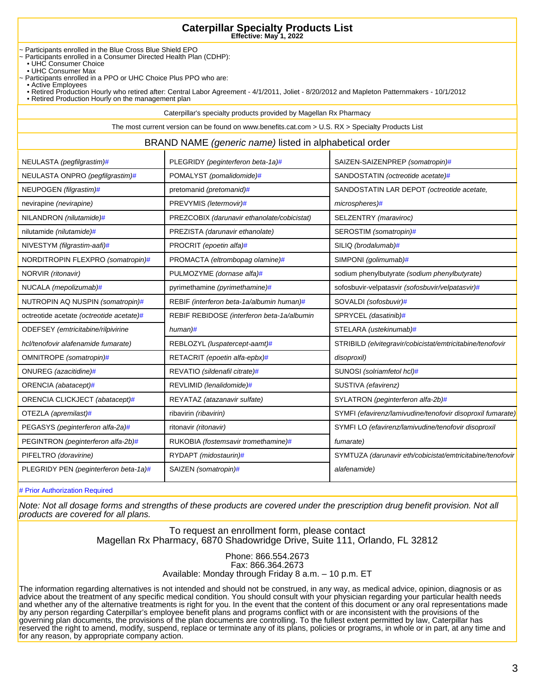~ Participants enrolled in the Blue Cross Blue Shield EPO

- ~ Participants enrolled in a Consumer Directed Health Plan (CDHP):
- UHC Consumer Choice
	- UHC Consumer Max
- ~ Participants enrolled in a PPO or UHC Choice Plus PPO who are:
- Active Employees
- Retired Production Hourly who retired after: Central Labor Agreement 4/1/2011, Joliet 8/20/2012 and Mapleton Patternmakers 10/1/2012
- Retired Production Hourly on the management plan

Caterpillar's specialty products provided by Magellan Rx Pharmacy

The most current version can be found on www.benefits.cat.com > U.S. RX > Specialty Products List

#### BRAND NAME (generic name) listed in alphabetical order

| NEULASTA (pegfilgrastim)#                | PLEGRIDY (peginterferon beta-1a)#           | SAIZEN-SAIZENPREP (somatropin)#                            |
|------------------------------------------|---------------------------------------------|------------------------------------------------------------|
| NEULASTA ONPRO (pegfilgrastim)#          | POMALYST (pomalidomide)#                    | SANDOSTATIN (octreotide acetate)#                          |
| NEUPOGEN (filgrastim)#                   | pretomanid (pretomanid)#                    | SANDOSTATIN LAR DEPOT (octreotide acetate,                 |
| nevirapine (nevirapine)                  | PREVYMIS (letermovir)#                      | microspheres)#                                             |
| NILANDRON (nilutamide)#                  | PREZCOBIX (darunavir ethanolate/cobicistat) | SELZENTRY (maraviroc)                                      |
| nilutamide (nilutamide)#                 | PREZISTA (darunavir ethanolate)             | SEROSTIM (somatropin)#                                     |
| NIVESTYM (filgrastim-aafi)#              | PROCRIT (epoetin alfa)#                     | SILIQ (brodalumab)#                                        |
| NORDITROPIN FLEXPRO (somatropin)#        | PROMACTA (eltrombopag olamine)#             | SIMPONI (golimumab)#                                       |
| NORVIR (ritonavir)                       | PULMOZYME (dornase alfa)#                   | sodium phenylbutyrate (sodium phenylbutyrate)              |
| NUCALA (mepolizumab)#                    | pyrimethamine (pyrimethamine)#              | sofosbuvir-velpatasvir (sofosbuvir/velpatasvir)#           |
| NUTROPIN AQ NUSPIN (somatropin)#         | REBIF (interferon beta-1a/albumin human)#   | SOVALDI (sofosbuvir)#                                      |
| octreotide acetate (octreotide acetate)# | REBIF REBIDOSE (interferon beta-1a/albumin  | SPRYCEL (dasatinib)#                                       |
| ODEFSEY (emtricitabine/rilpivirine       | human#                                      | STELARA (ustekinumab)#                                     |
| hcl/tenofovir alafenamide fumarate)      | REBLOZYL (luspatercept-aamt)#               | STRIBILD (elvitegravir/cobicistat/emtricitabine/tenofovir  |
| OMNITROPE (somatropin)#                  | RETACRIT (epoetin alfa-epbx)#               | disoproxil)                                                |
| ONUREG (azacitidine)#                    | REVATIO (sildenafil citrate)#               | SUNOSI (solriamfetol hcl)#                                 |
| ORENCIA (abatacept)#                     | REVLIMID (lenalidomide)#                    | SUSTIVA (efavirenz)                                        |
| ORENCIA CLICKJECT (abatacept)#           | REYATAZ (atazanavir sulfate)                | SYLATRON (peginterferon alfa-2b)#                          |
| OTEZLA (apremilast)#                     | ribavirin (ribavirin)                       | SYMFI (efavirenz/lamivudine/tenofovir disoproxil fumarate) |
| PEGASYS (peginterferon alfa-2a)#         | ritonavir (ritonavir)                       | SYMFI LO (efavirenz/lamivudine/tenofovir disoproxil        |
| PEGINTRON (peginterferon alfa-2b)#       | RUKOBIA (fostemsavir tromethamine)#         | fumarate)                                                  |
| PIFELTRO (doravirine)                    | RYDAPT (midostaurin)#                       | SYMTUZA (darunavir eth/cobicistat/emtricitabine/tenofovir  |
| PLEGRIDY PEN (peginterferon beta-1a)#    | SAIZEN (somatropin)#                        | alafenamide)                                               |

# Prior Authorization Required

Note: Not all dosage forms and strengths of these products are covered under the prescription drug benefit provision. Not all products are covered for all plans.

> To request an enrollment form, please contact Magellan Rx Pharmacy, 6870 Shadowridge Drive, Suite 111, Orlando, FL 32812

> > Phone: 866.554.2673 Fax: 866.364.2673 Available: Monday through Friday 8 a.m. – 10 p.m. ET